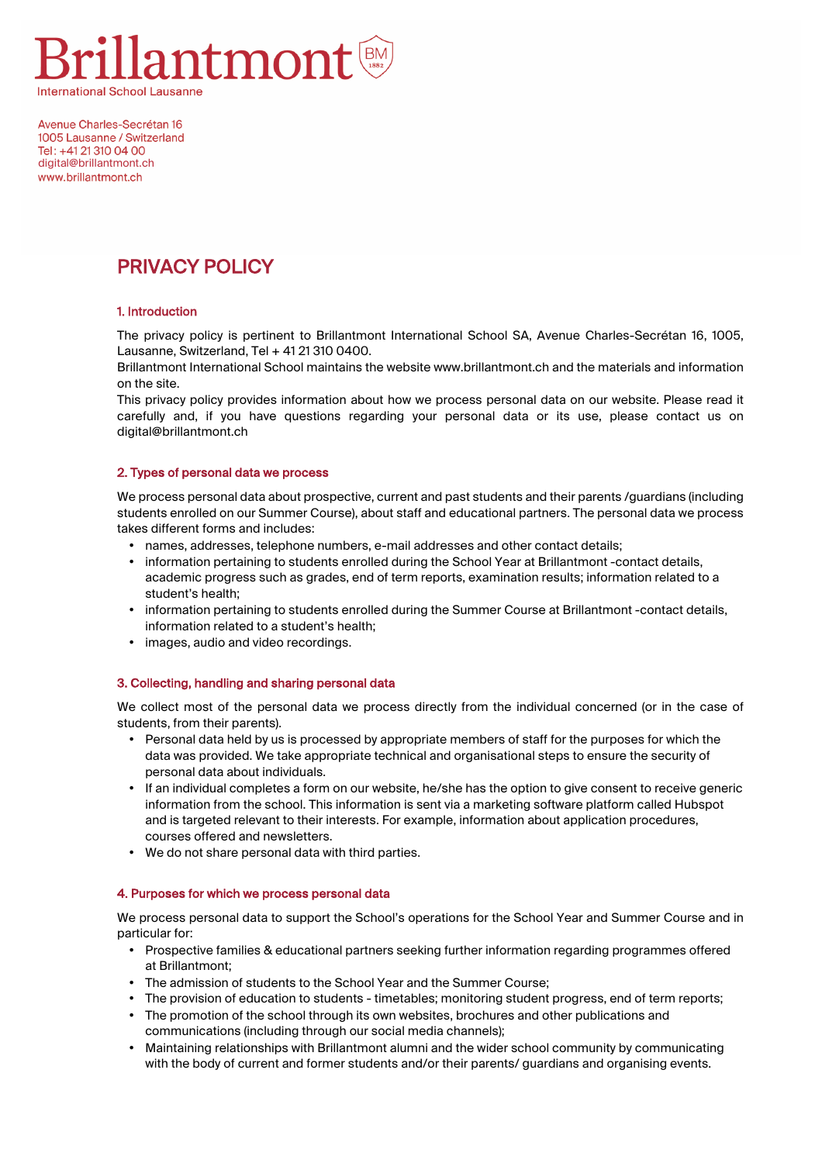

Avenue Charles-Secrétan 16 1005 Lausanne / Switzerland Tel: +41 21 310 04 00 digital@brillantmont.ch www.brillantmont.ch

# PRIVACY POLICY

### 1. Introduction

The privacy policy is pertinent to Brillantmont International School SA, Avenue Charles-Secrétan 16, 1005, Lausanne, Switzerland, Tel + 41 21 310 0400.

Brillantmont International School maintains the website www.brillantmont.ch and the materials and information on the site.

This privacy policy provides information about how we process personal data on our website. Please read it carefully and, if you have questions regarding your personal data or its use, please contact us on digital@brillantmont.ch

### 2. Types of personal data we process

We process personal data about prospective, current and past students and their parents /guardians (including students enrolled on our Summer Course), about staff and educational partners. The personal data we process takes different forms and includes:

- names, addresses, telephone numbers, e-mail addresses and other contact details;
- information pertaining to students enrolled during the School Year at Brillantmont -contact details, academic progress such as grades, end of term reports, examination results; information related to a student's health;
- information pertaining to students enrolled during the Summer Course at Brillantmont -contact details, information related to a student's health;
- images, audio and video recordings.

## 3. Collecting, handling and sharing personal data

We collect most of the personal data we process directly from the individual concerned (or in the case of students, from their parents).

- Personal data held by us is processed by appropriate members of staff for the purposes for which the data was provided. We take appropriate technical and organisational steps to ensure the security of personal data about individuals.
- If an individual completes a form on our website, he/she has the option to give consent to receive generic information from the school. This information is sent via a marketing software platform called Hubspot and is targeted relevant to their interests. For example, information about application procedures, courses offered and newsletters.
- We do not share personal data with third parties.

#### 4. Purposes for which we process personal data

We process personal data to support the School's operations for the School Year and Summer Course and in particular for:

- Prospective families & educational partners seeking further information regarding programmes offered at Brillantmont;
- The admission of students to the School Year and the Summer Course;
- The provision of education to students timetables; monitoring student progress, end of term reports;
- The promotion of the school through its own websites, brochures and other publications and communications (including through our social media channels);
- Maintaining relationships with Brillantmont alumni and the wider school community by communicating with the body of current and former students and/or their parents/ guardians and organising events.